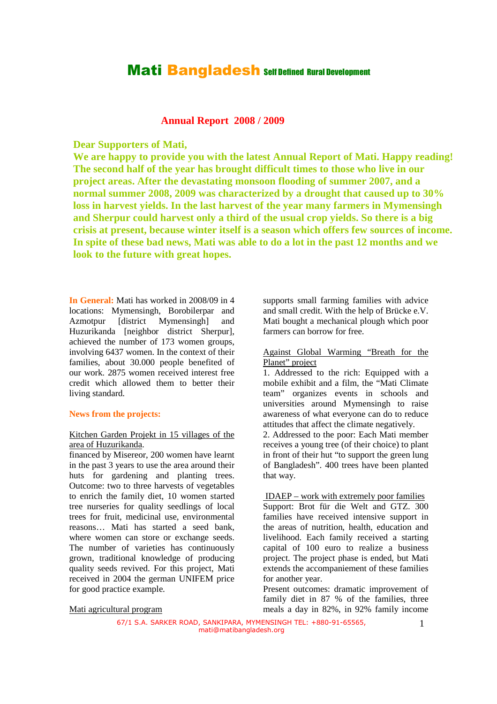### **Annual Report 2008 / 2009**

### **Dear Supporters of Mati,**

**We are happy to provide you with the latest Annual Report of Mati. Happy reading! The second half of the year has brought difficult times to those who live in our project areas. After the devastating monsoon flooding of summer 2007, and a normal summer 2008, 2009 was characterized by a drought that caused up to 30% loss in harvest yields. In the last harvest of the year many farmers in Mymensingh and Sherpur could harvest only a third of the usual crop yields. So there is a big crisis at present, because winter itself is a season which offers few sources of income. In spite of these bad news, Mati was able to do a lot in the past 12 months and we look to the future with great hopes.** 

**In General:** Mati has worked in 2008/09 in 4 locations: Mymensingh, Borobilerpar and Azmotpur [district Mymensingh] and Huzurikanda [neighbor district Sherpur], achieved the number of 173 women groups, involving 6437 women. In the context of their families, about 30.000 people benefited of our work. 2875 women received interest free credit which allowed them to better their living standard.

### **News from the projects:**

#### Kitchen Garden Projekt in 15 villages of the area of Huzurikanda.

financed by Misereor, 200 women have learnt in the past 3 years to use the area around their huts for gardening and planting trees. Outcome: two to three harvests of vegetables to enrich the family diet, 10 women started tree nurseries for quality seedlings of local trees for fruit, medicinal use, environmental reasons… Mati has started a seed bank, where women can store or exchange seeds. The number of varieties has continuously grown, traditional knowledge of producing quality seeds revived. For this project, Mati received in 2004 the german UNIFEM price for good practice example.

supports small farming families with advice and small credit. With the help of Brücke e.V. Mati bought a mechanical plough which poor farmers can borrow for free.

### Against Global Warming "Breath for the Planet" project

1. Addressed to the rich: Equipped with a mobile exhibit and a film, the "Mati Climate team" organizes events in schools and universities around Mymensingh to raise awareness of what everyone can do to reduce attitudes that affect the climate negatively.

2. Addressed to the poor: Each Mati member receives a young tree (of their choice) to plant in front of their hut "to support the green lung of Bangladesh". 400 trees have been planted that way.

 IDAEP – work with extremely poor families Support: Brot für die Welt and GTZ. 300 families have received intensive support in the areas of nutrition, health, education and livelihood. Each family received a starting capital of 100 euro to realize a business project. The project phase is ended, but Mati extends the accompaniement of these families for another year.

Present outcomes: dramatic improvement of family diet in 87 % of the families, three meals a day in 82%, in 92% family income

#### Mati agricultural program

67/1 S.A. SARKER ROAD, SANKIPARA, MYMENSINGH TEL: +880-91-65565, mati@matibangladesh.org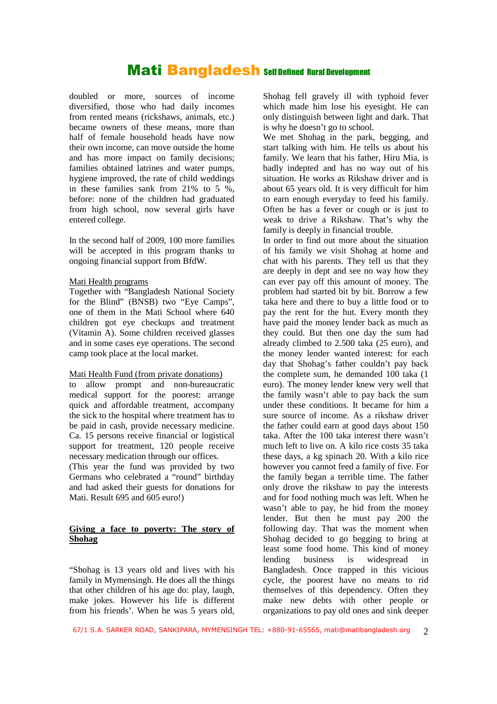doubled or more, sources of income diversified, those who had daily incomes from rented means (rickshaws, animals, etc.) became owners of these means, more than half of female household heads have now their own income, can move outside the home and has more impact on family decisions; families obtained latrines and water pumps, hygiene improved, the rate of child weddings in these families sank from 21% to 5 %, before: none of the children had graduated from high school, now several girls have entered college.

In the second half of 2009, 100 more families will be accepted in this program thanks to ongoing financial support from BfdW.

#### Mati Health programs

Together with "Bangladesh National Society for the Blind" (BNSB) two "Eye Camps", one of them in the Mati School where 640 children got eye checkups and treatment (Vitamin A). Some children received glasses and in some cases eye operations. The second camp took place at the local market.

#### Mati Health Fund (from private donations)

to allow prompt and non-bureaucratic medical support for the poorest: arrange quick and affordable treatment, accompany the sick to the hospital where treatment has to be paid in cash, provide necessary medicine. Ca. 15 persons receive financial or logistical support for treatment, 120 people receive necessary medication through our offices. (This year the fund was provided by two Germans who celebrated a "round" birthday and had asked their guests for donations for Mati. Result 695 and 605 euro!)

#### **Giving a face to poverty: The story of Shohag**

"Shohag is 13 years old and lives with his family in Mymensingh. He does all the things that other children of his age do: play, laugh, make jokes. However his life is different from his friends'. When he was 5 years old,

Shohag fell gravely ill with typhoid fever which made him lose his eyesight. He can only distinguish between light and dark. That is why he doesn't go to school.

We met Shohag in the park, begging, and start talking with him. He tells us about his family. We learn that his father, Hiru Mia, is badly indepted and has no way out of his situation. He works as Rikshaw driver and is about 65 years old. It is very difficult for him to earn enough everyday to feed his family. Often he has a fever or cough or is just to weak to drive a Rikshaw. That's why the family is deeply in financial trouble.

In order to find out more about the situation of his family we visit Shohag at home and chat with his parents. They tell us that they are deeply in dept and see no way how they can ever pay off this amount of money. The problem had started bit by bit. Borrow a few taka here and there to buy a little food or to pay the rent for the hut. Every month they have paid the money lender back as much as they could. But then one day the sum had already climbed to 2.500 taka (25 euro), and the money lender wanted interest: for each day that Shohag's father couldn't pay back the complete sum, he demanded 100 taka (1 euro). The money lender knew very well that the family wasn't able to pay back the sum under these conditions. It became for him a sure source of income. As a rikshaw driver the father could earn at good days about 150 taka. After the 100 taka interest there wasn't much left to live on. A kilo rice costs 35 taka these days, a kg spinach 20. With a kilo rice however you cannot feed a family of five. For the family began a terrible time. The father only drove the rikshaw to pay the interests and for food nothing much was left. When he wasn't able to pay, he hid from the money lender. But then he must pay 200 the following day. That was the moment when Shohag decided to go begging to bring at least some food home. This kind of money lending business is widespread in Bangladesh. Once trapped in this vicious cycle, the poorest have no means to rid themselves of this dependency. Often they make new debts with other people or organizations to pay old ones and sink deeper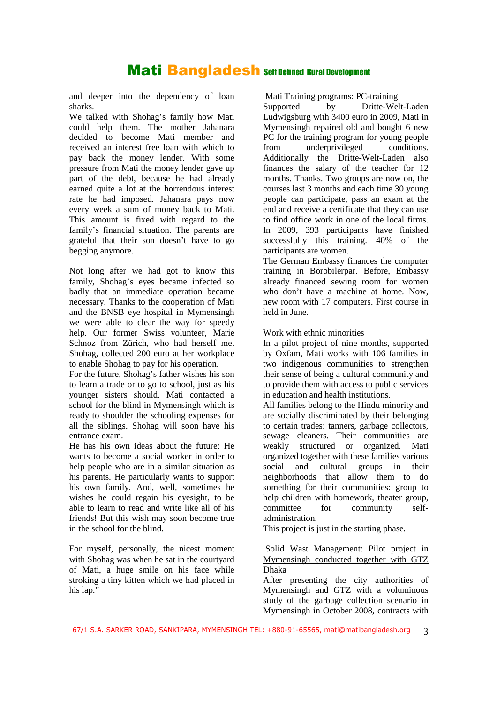and deeper into the dependency of loan sharks.

We talked with Shohag's family how Mati could help them. The mother Jahanara decided to become Mati member and received an interest free loan with which to pay back the money lender. With some pressure from Mati the money lender gave up part of the debt, because he had already earned quite a lot at the horrendous interest rate he had imposed. Jahanara pays now every week a sum of money back to Mati. This amount is fixed with regard to the family's financial situation. The parents are grateful that their son doesn't have to go begging anymore.

Not long after we had got to know this family, Shohag's eyes became infected so badly that an immediate operation became necessary. Thanks to the cooperation of Mati and the BNSB eye hospital in Mymensingh we were able to clear the way for speedy help. Our former Swiss volunteer, Marie Schnoz from Zürich, who had herself met Shohag, collected 200 euro at her workplace to enable Shohag to pay for his operation.

For the future, Shohag's father wishes his son to learn a trade or to go to school, just as his younger sisters should. Mati contacted a school for the blind in Mymensingh which is ready to shoulder the schooling expenses for all the siblings. Shohag will soon have his entrance exam.

He has his own ideas about the future: He wants to become a social worker in order to help people who are in a similar situation as his parents. He particularly wants to support his own family. And, well, sometimes he wishes he could regain his eyesight, to be able to learn to read and write like all of his friends! But this wish may soon become true in the school for the blind.

For myself, personally, the nicest moment with Shohag was when he sat in the courtyard of Mati, a huge smile on his face while stroking a tiny kitten which we had placed in his lap."

Mati Training programs: PC-training<br>Supported by Dritte-Wel Supported by Dritte-Welt-Laden Ludwigsburg with 3400 euro in 2009, Mati in Mymensingh repaired old and bought 6 new PC for the training program for young people from underprivileged conditions. Additionally the Dritte-Welt-Laden also finances the salary of the teacher for 12 months. Thanks. Two groups are now on, the courses last 3 months and each time 30 young people can participate, pass an exam at the end and receive a certificate that they can use to find office work in one of the local firms. In 2009, 393 participants have finished successfully this training. 40% of the participants are women.

The German Embassy finances the computer training in Borobilerpar. Before, Embassy already financed sewing room for women who don't have a machine at home. Now, new room with 17 computers. First course in held in June.

### Work with ethnic minorities

In a pilot project of nine months, supported by Oxfam, Mati works with 106 families in two indigenous communities to strengthen their sense of being a cultural community and to provide them with access to public services in education and health institutions.

All families belong to the Hindu minority and are socially discriminated by their belonging to certain trades: tanners, garbage collectors, sewage cleaners. Their communities are weakly structured or organized. Mati organized together with these families various social and cultural groups in their neighborhoods that allow them to do something for their communities: group to help children with homework, theater group, committee for community selfadministration.

This project is just in the starting phase.

### Solid Wast Management: Pilot project in Mymensingh conducted together with GTZ Dhaka

After presenting the city authorities of Mymensingh and GTZ with a voluminous study of the garbage collection scenario in Mymensingh in October 2008, contracts with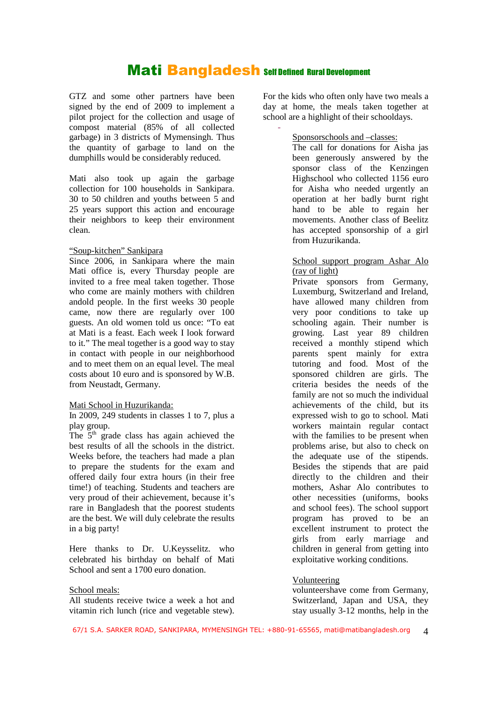-

GTZ and some other partners have been signed by the end of 2009 to implement a pilot project for the collection and usage of compost material (85% of all collected garbage) in 3 districts of Mymensingh. Thus the quantity of garbage to land on the dumphills would be considerably reduced.

Mati also took up again the garbage collection for 100 households in Sankipara. 30 to 50 children and youths between 5 and 25 years support this action and encourage their neighbors to keep their environment clean.

#### "Soup-kitchen" Sankipara

Since 2006, in Sankipara where the main Mati office is, every Thursday people are invited to a free meal taken together. Those who come are mainly mothers with children andold people. In the first weeks 30 people came, now there are regularly over 100 guests. An old women told us once: "To eat at Mati is a feast. Each week I look forward to it." The meal together is a good way to stay in contact with people in our neighborhood and to meet them on an equal level. The meal costs about 10 euro and is sponsored by W.B. from Neustadt, Germany.

#### Mati School in Huzurikanda:

In 2009, 249 students in classes 1 to 7, plus a play group.

The  $5<sup>th</sup>$  grade class has again achieved the best results of all the schools in the district. Weeks before, the teachers had made a plan to prepare the students for the exam and offered daily four extra hours (in their free time!) of teaching. Students and teachers are very proud of their achievement, because it's rare in Bangladesh that the poorest students are the best. We will duly celebrate the results in a big party!

Here thanks to Dr. U.Keysselitz. who celebrated his birthday on behalf of Mati School and sent a 1700 euro donation.

#### School meals:

All students receive twice a week a hot and vitamin rich lunch (rice and vegetable stew).

For the kids who often only have two meals a day at home, the meals taken together at school are a highlight of their schooldays.

Sponsorschools and –classes:

The call for donations for Aisha jas been generously answered by the sponsor class of the Kenzingen Highschool who collected 1156 euro for Aisha who needed urgently an operation at her badly burnt right hand to be able to regain her movements. Another class of Beelitz has accepted sponsorship of a girl from Huzurikanda.

#### School support program Ashar Alo (ray of light)

Private sponsors from Germany, Luxemburg, Switzerland and Ireland, have allowed many children from very poor conditions to take up schooling again. Their number is growing. Last year 89 children received a monthly stipend which parents spent mainly for extra tutoring and food. Most of the sponsored children are girls. The criteria besides the needs of the family are not so much the individual achievements of the child, but its expressed wish to go to school. Mati workers maintain regular contact with the families to be present when problems arise, but also to check on the adequate use of the stipends. Besides the stipends that are paid directly to the children and their mothers, Ashar Alo contributes to other necessities (uniforms, books and school fees). The school support program has proved to be an excellent instrument to protect the girls from early marriage and children in general from getting into exploitative working conditions.

### Volunteering

volunteershave come from Germany, Switzerland, Japan and USA, they stay usually 3-12 months, help in the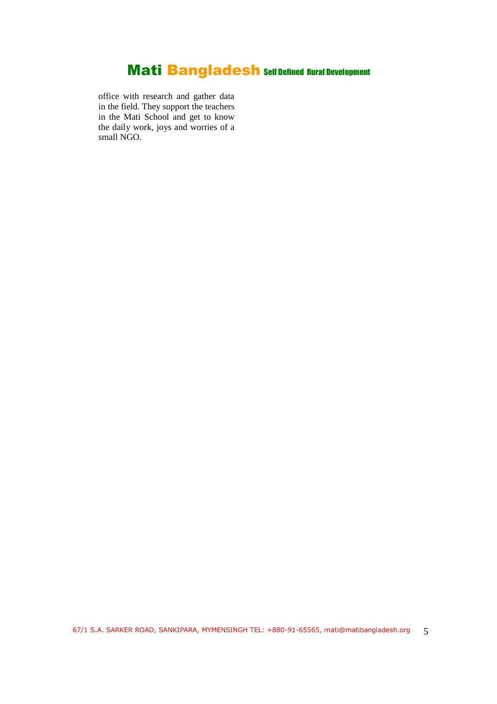office with research and gather data in the field. They support the teachers in the Mati School and get to know the daily work, joys and worries of a small NGO.